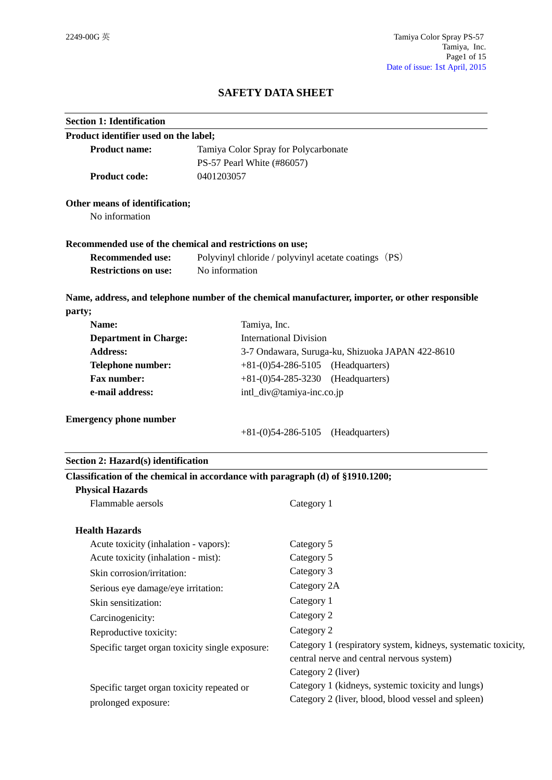# **SAFETY DATA SHEET**

| <b>Section 1: Identification</b>                                               |                                                      |                                                                                                  |  |
|--------------------------------------------------------------------------------|------------------------------------------------------|--------------------------------------------------------------------------------------------------|--|
| Product identifier used on the label;                                          |                                                      |                                                                                                  |  |
| <b>Product name:</b>                                                           | Tamiya Color Spray for Polycarbonate                 |                                                                                                  |  |
| PS-57 Pearl White (#86057)                                                     |                                                      |                                                                                                  |  |
| <b>Product code:</b>                                                           | 0401203057                                           |                                                                                                  |  |
| Other means of identification;                                                 |                                                      |                                                                                                  |  |
| No information                                                                 |                                                      |                                                                                                  |  |
| Recommended use of the chemical and restrictions on use;                       |                                                      |                                                                                                  |  |
| <b>Recommended use:</b>                                                        | Polyvinyl chloride / polyvinyl acetate coatings (PS) |                                                                                                  |  |
| <b>Restrictions on use:</b>                                                    | No information                                       |                                                                                                  |  |
|                                                                                |                                                      | Name, address, and telephone number of the chemical manufacturer, importer, or other responsible |  |
| party;                                                                         |                                                      |                                                                                                  |  |
| Name:                                                                          | Tamiya, Inc.                                         |                                                                                                  |  |
| <b>Department in Charge:</b>                                                   |                                                      | <b>International Division</b>                                                                    |  |
| <b>Address:</b>                                                                |                                                      | 3-7 Ondawara, Suruga-ku, Shizuoka JAPAN 422-8610                                                 |  |
| <b>Telephone number:</b>                                                       | $+81-(0)54-286-5105$ (Headquarters)                  |                                                                                                  |  |
| <b>Fax number:</b>                                                             |                                                      | $+81-(0)54-285-3230$ (Headquarters)                                                              |  |
| e-mail address:                                                                |                                                      | intl_div@tamiya-inc.co.jp                                                                        |  |
| <b>Emergency phone number</b>                                                  |                                                      |                                                                                                  |  |
|                                                                                |                                                      | $+81-(0)54-286-5105$ (Headquarters)                                                              |  |
| Section 2: Hazard(s) identification                                            |                                                      |                                                                                                  |  |
| Classification of the chemical in accordance with paragraph (d) of §1910.1200; |                                                      |                                                                                                  |  |
| <b>Physical Hazards</b>                                                        |                                                      |                                                                                                  |  |
| Flammable aersols                                                              |                                                      | Category 1                                                                                       |  |
| <b>Health Hazards</b>                                                          |                                                      |                                                                                                  |  |
| Acute toxicity (inhalation - vapors):                                          |                                                      | Category 5                                                                                       |  |
| Acute toxicity (inhalation - mist):                                            |                                                      | Category 5                                                                                       |  |
| Skin corrosion/irritation:                                                     |                                                      | Category 3                                                                                       |  |
| Serious eye damage/eye irritation:                                             |                                                      | Category 2A                                                                                      |  |
| Skin sensitization:                                                            |                                                      | Category 1                                                                                       |  |
| Carcinogenicity:                                                               |                                                      | Category 2                                                                                       |  |
| Reproductive toxicity:                                                         |                                                      | Category 2                                                                                       |  |
| Specific target organ toxicity single exposure:                                |                                                      | Category 1 (respiratory system, kidneys, systematic toxicity,                                    |  |
|                                                                                |                                                      | central nerve and central nervous system)                                                        |  |
|                                                                                |                                                      | Category 2 (liver)                                                                               |  |
| Specific target organ toxicity repeated or                                     |                                                      | Category 1 (kidneys, systemic toxicity and lungs)                                                |  |
| prolonged exposure:                                                            |                                                      | Category 2 (liver, blood, blood vessel and spleen)                                               |  |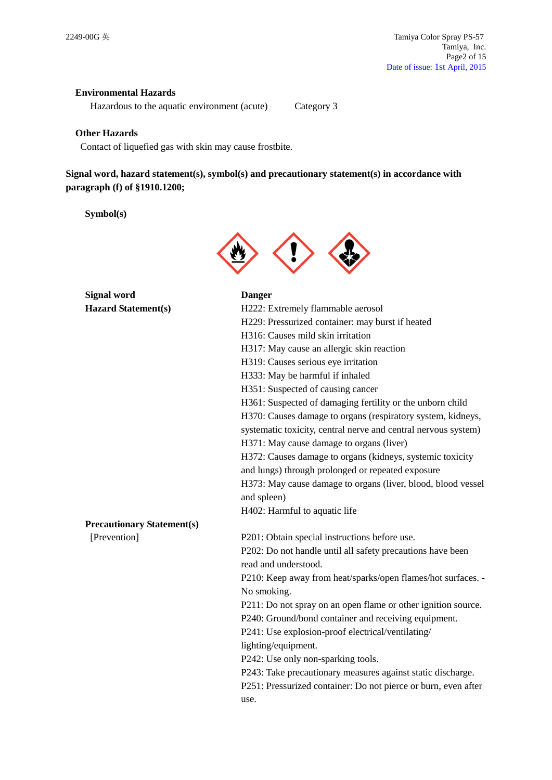## **Environmental Hazards**

Hazardous to the aquatic environment (acute) Category 3

### **Other Hazards**

Contact of liquefied gas with skin may cause frostbite.

# **Signal word, hazard statement(s), symbol(s) and precautionary statement(s) in accordance with paragraph (f) of §1910.1200;**

## **Symbol(s)**



| <b>Signal word</b>                | <b>Danger</b>                                                  |
|-----------------------------------|----------------------------------------------------------------|
| <b>Hazard Statement(s)</b>        | H222: Extremely flammable aerosol                              |
|                                   | H229: Pressurized container: may burst if heated               |
|                                   | H316: Causes mild skin irritation                              |
|                                   | H317: May cause an allergic skin reaction                      |
|                                   | H319: Causes serious eye irritation                            |
|                                   | H333: May be harmful if inhaled                                |
|                                   | H351: Suspected of causing cancer                              |
|                                   | H361: Suspected of damaging fertility or the unborn child      |
|                                   | H370: Causes damage to organs (respiratory system, kidneys,    |
|                                   | systematic toxicity, central nerve and central nervous system) |
|                                   | H371: May cause damage to organs (liver)                       |
|                                   | H372: Causes damage to organs (kidneys, systemic toxicity      |
|                                   | and lungs) through prolonged or repeated exposure              |
|                                   | H373: May cause damage to organs (liver, blood, blood vessel   |
|                                   | and spleen)                                                    |
|                                   | H402: Harmful to aquatic life                                  |
| <b>Precautionary Statement(s)</b> |                                                                |
| [Prevention]                      | P201: Obtain special instructions before use.                  |
|                                   | P202: Do not handle until all safety precautions have been     |
|                                   | read and understood.                                           |
|                                   | P210: Keep away from heat/sparks/open flames/hot surfaces. -   |
|                                   | No smoking.                                                    |
|                                   | P211: Do not spray on an open flame or other ignition source.  |
|                                   | P240: Ground/bond container and receiving equipment.           |
|                                   | P241: Use explosion-proof electrical/ventilating/              |
|                                   | lighting/equipment.                                            |
|                                   | P242: Use only non-sparking tools.                             |
|                                   | P243: Take precautionary measures against static discharge.    |
|                                   | P251: Pressurized container: Do not pierce or burn, even after |
|                                   | use.                                                           |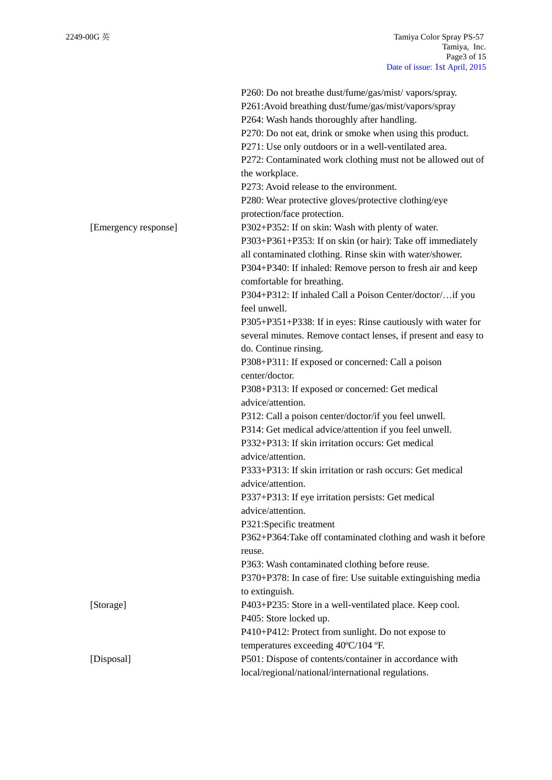|                      | P260: Do not breathe dust/fume/gas/mist/vapors/spray.<br>P261:Avoid breathing dust/fume/gas/mist/vapors/spray<br>P264: Wash hands thoroughly after handling.<br>P270: Do not eat, drink or smoke when using this product.<br>P271: Use only outdoors or in a well-ventilated area.<br>P272: Contaminated work clothing must not be allowed out of<br>the workplace.<br>P273: Avoid release to the environment.<br>P280: Wear protective gloves/protective clothing/eye |
|----------------------|------------------------------------------------------------------------------------------------------------------------------------------------------------------------------------------------------------------------------------------------------------------------------------------------------------------------------------------------------------------------------------------------------------------------------------------------------------------------|
|                      | protection/face protection.                                                                                                                                                                                                                                                                                                                                                                                                                                            |
| [Emergency response] | P302+P352: If on skin: Wash with plenty of water.<br>P303+P361+P353: If on skin (or hair): Take off immediately<br>all contaminated clothing. Rinse skin with water/shower.<br>P304+P340: If inhaled: Remove person to fresh air and keep                                                                                                                                                                                                                              |
|                      | comfortable for breathing.<br>P304+P312: If inhaled Call a Poison Center/doctor/if you<br>feel unwell.                                                                                                                                                                                                                                                                                                                                                                 |
|                      | P305+P351+P338: If in eyes: Rinse cautiously with water for<br>several minutes. Remove contact lenses, if present and easy to<br>do. Continue rinsing.                                                                                                                                                                                                                                                                                                                 |
|                      | P308+P311: If exposed or concerned: Call a poison<br>center/doctor.                                                                                                                                                                                                                                                                                                                                                                                                    |
|                      | P308+P313: If exposed or concerned: Get medical<br>advice/attention.                                                                                                                                                                                                                                                                                                                                                                                                   |
|                      | P312: Call a poison center/doctor/if you feel unwell.                                                                                                                                                                                                                                                                                                                                                                                                                  |
|                      | P314: Get medical advice/attention if you feel unwell.                                                                                                                                                                                                                                                                                                                                                                                                                 |
|                      | P332+P313: If skin irritation occurs: Get medical<br>advice/attention.                                                                                                                                                                                                                                                                                                                                                                                                 |
|                      | P333+P313: If skin irritation or rash occurs: Get medical<br>advice/attention.                                                                                                                                                                                                                                                                                                                                                                                         |
|                      | P337+P313: If eye irritation persists: Get medical<br>advice/attention.                                                                                                                                                                                                                                                                                                                                                                                                |
|                      | P321:Specific treatment                                                                                                                                                                                                                                                                                                                                                                                                                                                |
|                      | P362+P364: Take off contaminated clothing and wash it before<br>reuse.                                                                                                                                                                                                                                                                                                                                                                                                 |
|                      | P363: Wash contaminated clothing before reuse.                                                                                                                                                                                                                                                                                                                                                                                                                         |
|                      | P370+P378: In case of fire: Use suitable extinguishing media<br>to extinguish.                                                                                                                                                                                                                                                                                                                                                                                         |
| [Storage]            | P403+P235: Store in a well-ventilated place. Keep cool.<br>P405: Store locked up.                                                                                                                                                                                                                                                                                                                                                                                      |
|                      | P410+P412: Protect from sunlight. Do not expose to<br>temperatures exceeding 40°C/104 °F.                                                                                                                                                                                                                                                                                                                                                                              |
| [Disposal]           | P501: Dispose of contents/container in accordance with<br>local/regional/national/international regulations.                                                                                                                                                                                                                                                                                                                                                           |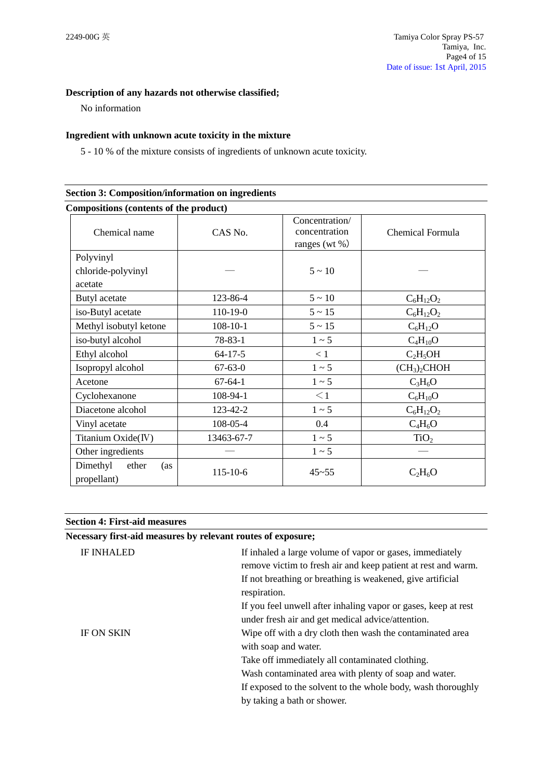## **Description of any hazards not otherwise classified;**

No information

## **Ingredient with unknown acute toxicity in the mixture**

5 - 10 % of the mixture consists of ingredients of unknown acute toxicity.

| <b>Section 3: Composition/information on ingredients</b> |                |                                                      |                                      |
|----------------------------------------------------------|----------------|------------------------------------------------------|--------------------------------------|
| Compositions (contents of the product)                   |                |                                                      |                                      |
| Chemical name                                            | CAS No.        | Concentration/<br>concentration<br>ranges (wt $\%$ ) | Chemical Formula                     |
| Polyvinyl<br>chloride-polyvinyl<br>acetate               |                | $5 \sim 10$                                          |                                      |
| Butyl acetate                                            | 123-86-4       | $5 \sim 10$                                          | $C_6H_{12}O_2$                       |
| iso-Butyl acetate                                        | 110-19-0       | $5 \sim 15$                                          | $C_6H_{12}O_2$                       |
| Methyl isobutyl ketone                                   | $108 - 10 - 1$ | $5 \sim 15$                                          | $C_6H_{12}O$                         |
| iso-butyl alcohol                                        | $78 - 83 - 1$  | $1 \sim 5$                                           | $C_4H_{10}O$                         |
| Ethyl alcohol                                            | $64-17-5$      | < 1                                                  | $C_2H_5OH$                           |
| Isopropyl alcohol                                        | $67 - 63 - 0$  | $1 \sim 5$                                           | (CH <sub>3</sub> ) <sub>2</sub> CHOH |
| Acetone                                                  | $67 - 64 - 1$  | $1 \sim 5$                                           | $C_3H_6O$                            |
| Cyclohexanone                                            | 108-94-1       | $\leq$ 1                                             | $C_6H_{10}O$                         |
| Diacetone alcohol                                        | 123-42-2       | $1 \sim 5$                                           | $C_6H_{12}O_2$                       |
| Vinyl acetate                                            | 108-05-4       | 0.4                                                  | $C_4H_6O$                            |
| Titanium Oxide(IV)                                       | 13463-67-7     | $1 \sim 5$                                           | TiO <sub>2</sub>                     |
| Other ingredients                                        |                | $1 \sim 5$                                           |                                      |
| Dimethyl<br>ether<br>(as<br>propellant)                  | 115-10-6       | $45 - 55$                                            | $C_2H_6O$                            |

| Necessary first-aid measures by relevant routes of exposure; |                                                                                                                           |
|--------------------------------------------------------------|---------------------------------------------------------------------------------------------------------------------------|
| <b>IF INHALED</b>                                            | If inhaled a large volume of vapor or gases, immediately<br>remove victim to fresh air and keep patient at rest and warm. |
|                                                              | If not breathing or breathing is weakened, give artificial<br>respiration.                                                |
|                                                              | If you feel unwell after inhaling vapor or gases, keep at rest<br>under fresh air and get medical advice/attention.       |
| <b>IF ON SKIN</b>                                            | Wipe off with a dry cloth then wash the contaminated area<br>with soap and water.                                         |
|                                                              | Take off immediately all contaminated clothing.                                                                           |
|                                                              | Wash contaminated area with plenty of soap and water.                                                                     |
|                                                              | If exposed to the solvent to the whole body, wash thoroughly                                                              |
|                                                              | by taking a bath or shower.                                                                                               |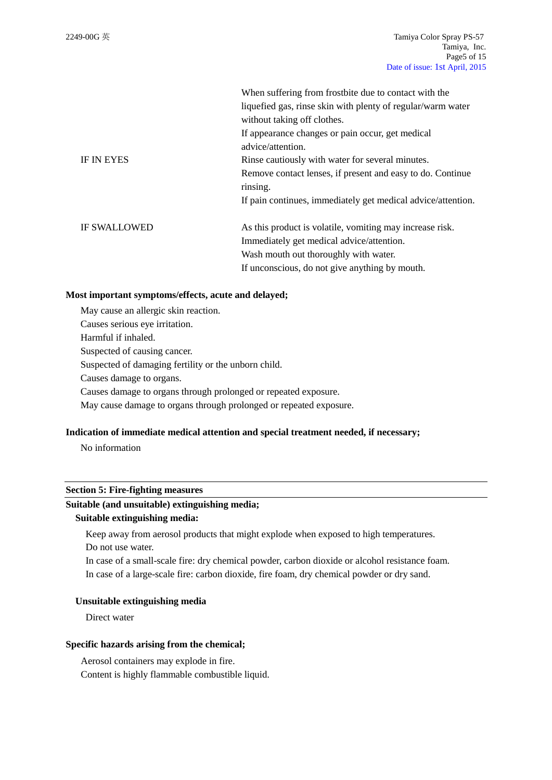|                     | When suffering from frostbite due to contact with the<br>liquefied gas, rinse skin with plenty of regular/warm water<br>without taking off clothes. |
|---------------------|-----------------------------------------------------------------------------------------------------------------------------------------------------|
|                     | If appearance changes or pain occur, get medical<br>advice/attention.                                                                               |
| <b>IF IN EYES</b>   | Rinse cautiously with water for several minutes.                                                                                                    |
|                     | Remove contact lenses, if present and easy to do. Continue<br>rinsing.                                                                              |
|                     | If pain continues, immediately get medical advice/attention.                                                                                        |
| <b>IF SWALLOWED</b> | As this product is volatile, vomiting may increase risk.                                                                                            |
|                     | Immediately get medical advice/attention.                                                                                                           |
|                     | Wash mouth out thoroughly with water.                                                                                                               |
|                     | If unconscious, do not give anything by mouth.                                                                                                      |

### **Most important symptoms/effects, acute and delayed;**

May cause an allergic skin reaction. Causes serious eye irritation. Harmful if inhaled. Suspected of causing cancer. Suspected of damaging fertility or the unborn child. Causes damage to organs. Causes damage to organs through prolonged or repeated exposure. May cause damage to organs through prolonged or repeated exposure.

## **Indication of immediate medical attention and special treatment needed, if necessary;**

No information

### **Section 5: Fire-fighting measures**

## **Suitable (and unsuitable) extinguishing media;**

### **Suitable extinguishing media:**

Keep away from aerosol products that might explode when exposed to high temperatures. Do not use water.

In case of a small-scale fire: dry chemical powder, carbon dioxide or alcohol resistance foam. In case of a large-scale fire: carbon dioxide, fire foam, dry chemical powder or dry sand.

#### **Unsuitable extinguishing media**

Direct water

#### **Specific hazards arising from the chemical;**

Aerosol containers may explode in fire. Content is highly flammable combustible liquid.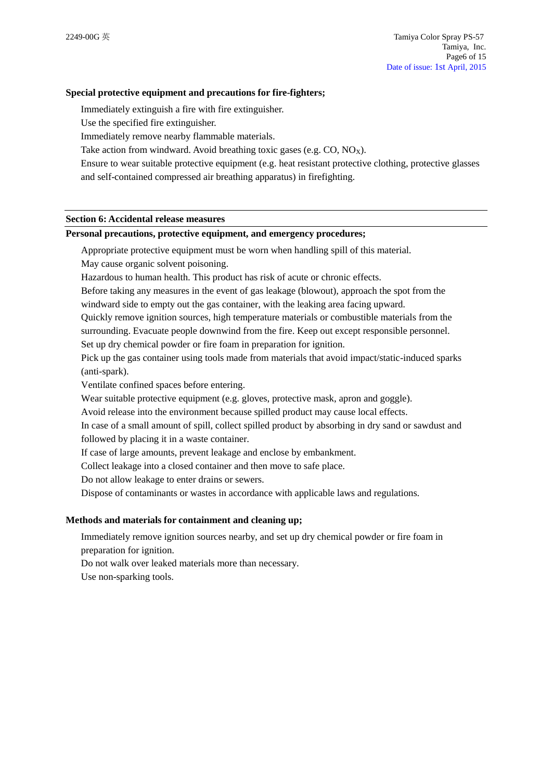### **Special protective equipment and precautions for fire-fighters;**

Immediately extinguish a fire with fire extinguisher.

Use the specified fire extinguisher.

Immediately remove nearby flammable materials.

Take action from windward. Avoid breathing toxic gases (e.g.  $CO$ ,  $NO_x$ ).

Ensure to wear suitable protective equipment (e.g. heat resistant protective clothing, protective glasses

and self-contained compressed air breathing apparatus) in firefighting.

## **Section 6: Accidental release measures**

#### **Personal precautions, protective equipment, and emergency procedures;**

Appropriate protective equipment must be worn when handling spill of this material. May cause organic solvent poisoning.

Hazardous to human health. This product has risk of acute or chronic effects.

Before taking any measures in the event of gas leakage (blowout), approach the spot from the windward side to empty out the gas container, with the leaking area facing upward.

Quickly remove ignition sources, high temperature materials or combustible materials from the surrounding. Evacuate people downwind from the fire. Keep out except responsible personnel. Set up dry chemical powder or fire foam in preparation for ignition.

Pick up the gas container using tools made from materials that avoid impact/static-induced sparks (anti-spark).

Ventilate confined spaces before entering.

Wear suitable protective equipment (e.g. gloves, protective mask, apron and goggle).

Avoid release into the environment because spilled product may cause local effects.

In case of a small amount of spill, collect spilled product by absorbing in dry sand or sawdust and followed by placing it in a waste container.

If case of large amounts, prevent leakage and enclose by embankment.

Collect leakage into a closed container and then move to safe place.

Do not allow leakage to enter drains or sewers.

Dispose of contaminants or wastes in accordance with applicable laws and regulations.

### **Methods and materials for containment and cleaning up;**

Immediately remove ignition sources nearby, and set up dry chemical powder or fire foam in preparation for ignition.

Do not walk over leaked materials more than necessary.

Use non-sparking tools.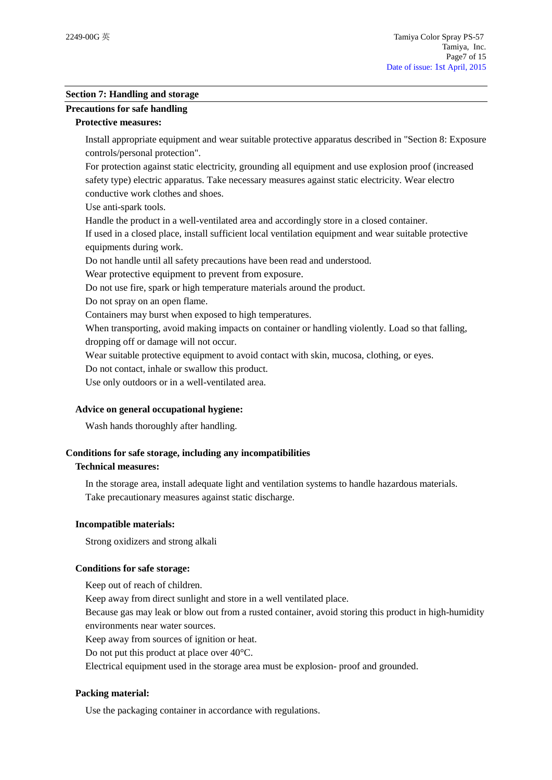## **Section 7: Handling and storage**

# **Precautions for safe handling**

### **Protective measures:**

Install appropriate equipment and wear suitable protective apparatus described in "Section 8: Exposure controls/personal protection".

For protection against static electricity, grounding all equipment and use explosion proof (increased safety type) electric apparatus. Take necessary measures against static electricity. Wear electro conductive work clothes and shoes.

Use anti-spark tools.

Handle the product in a well-ventilated area and accordingly store in a closed container.

If used in a closed place, install sufficient local ventilation equipment and wear suitable protective equipments during work.

Do not handle until all safety precautions have been read and understood.

Wear protective equipment to prevent from exposure.

Do not use fire, spark or high temperature materials around the product.

Do not spray on an open flame.

Containers may burst when exposed to high temperatures.

When transporting, avoid making impacts on container or handling violently. Load so that falling,

dropping off or damage will not occur.

Wear suitable protective equipment to avoid contact with skin, mucosa, clothing, or eyes.

Do not contact, inhale or swallow this product.

Use only outdoors or in a well-ventilated area.

## **Advice on general occupational hygiene:**

Wash hands thoroughly after handling.

## **Conditions for safe storage, including any incompatibilities**

## **Technical measures:**

In the storage area, install adequate light and ventilation systems to handle hazardous materials. Take precautionary measures against static discharge.

## **Incompatible materials:**

Strong oxidizers and strong alkali

## **Conditions for safe storage:**

Keep out of reach of children.

Keep away from direct sunlight and store in a well ventilated place.

Because gas may leak or blow out from a rusted container, avoid storing this product in high-humidity environments near water sources.

Keep away from sources of ignition or heat.

Do not put this product at place over 40°C.

Electrical equipment used in the storage area must be explosion- proof and grounded.

## **Packing material:**

Use the packaging container in accordance with regulations.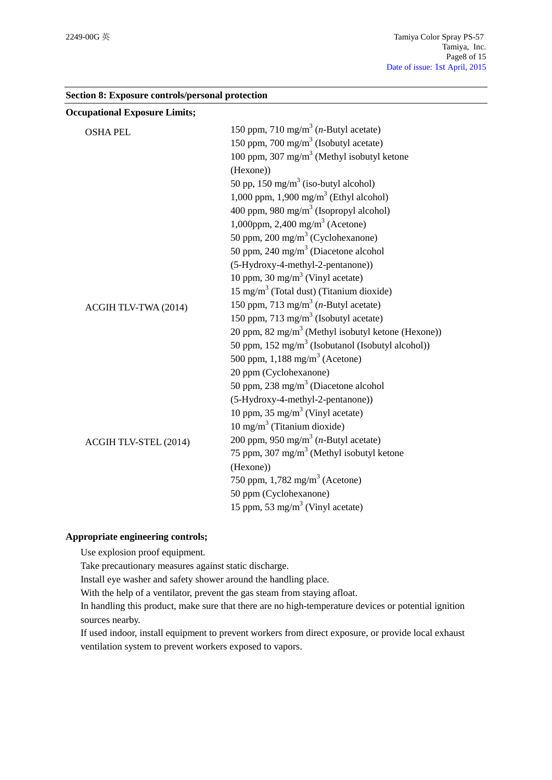| <b>Occupational Exposure Limits;</b> |                                                                |
|--------------------------------------|----------------------------------------------------------------|
| <b>OSHA PEL</b>                      | 150 ppm, 710 mg/m <sup>3</sup> ( <i>n</i> -Butyl acetate)      |
|                                      | 150 ppm, 700 mg/m <sup>3</sup> (Isobutyl acetate)              |
|                                      | 100 ppm, 307 mg/m <sup>3</sup> (Methyl isobutyl ketone         |
|                                      | (Hexone))                                                      |
|                                      | 50 pp, $150 \text{ mg/m}^3$ (iso-butyl alcohol)                |
|                                      | 1,000 ppm, 1,900 mg/m <sup>3</sup> (Ethyl alcohol)             |
|                                      | 400 ppm, 980 mg/m <sup>3</sup> (Isopropyl alcohol)             |
|                                      | 1,000ppm, 2,400 mg/m <sup>3</sup> (Acetone)                    |
|                                      | 50 ppm, $200 \text{ mg/m}^3$ (Cyclohexanone)                   |
|                                      | 50 ppm, 240 mg/m <sup>3</sup> (Diacetone alcohol               |
|                                      | (5-Hydroxy-4-methyl-2-pentanone))                              |
|                                      | 10 ppm, 30 mg/m <sup>3</sup> (Vinyl acetate)                   |
|                                      | 15 mg/m <sup>3</sup> (Total dust) (Titanium dioxide)           |
| ACGIH TLV-TWA (2014)                 | 150 ppm, 713 mg/m <sup>3</sup> ( <i>n</i> -Butyl acetate)      |
|                                      | 150 ppm, 713 mg/m <sup>3</sup> (Isobutyl acetate)              |
|                                      | 20 ppm, 82 mg/m <sup>3</sup> (Methyl isobutyl ketone (Hexone)) |
|                                      | 50 ppm, $152 \text{ mg/m}^3$ (Isobutanol (Isobutyl alcohol))   |
|                                      | 500 ppm, $1,188$ mg/m <sup>3</sup> (Acetone)                   |
|                                      | 20 ppm (Cyclohexanone)                                         |
|                                      | 50 ppm, 238 mg/m <sup>3</sup> (Diacetone alcohol               |
|                                      | (5-Hydroxy-4-methyl-2-pentanone))                              |
|                                      | 10 ppm, $35 \text{ mg/m}^3$ (Vinyl acetate)                    |
|                                      | $10 \text{ mg/m}^3$ (Titanium dioxide)                         |
| ACGIH TLV-STEL (2014)                | 200 ppm, 950 mg/m <sup>3</sup> ( <i>n</i> -Butyl acetate)      |
|                                      | 75 ppm, 307 mg/m <sup>3</sup> (Methyl isobutyl ketone          |
|                                      | (Hexone))                                                      |
|                                      | 750 ppm, $1,782 \text{ mg/m}^3$ (Acetone)                      |
|                                      | 50 ppm (Cyclohexanone)                                         |
|                                      | 15 ppm, 53 mg/m <sup>3</sup> (Vinyl acetate)                   |

## **Section 8: Exposure controls/personal protection**

## **Appropriate engineering controls;**

Use explosion proof equipment.

Take precautionary measures against static discharge.

Install eye washer and safety shower around the handling place.

With the help of a ventilator, prevent the gas steam from staying afloat.

In handling this product, make sure that there are no high-temperature devices or potential ignition sources nearby.

If used indoor, install equipment to prevent workers from direct exposure, or provide local exhaust ventilation system to prevent workers exposed to vapors.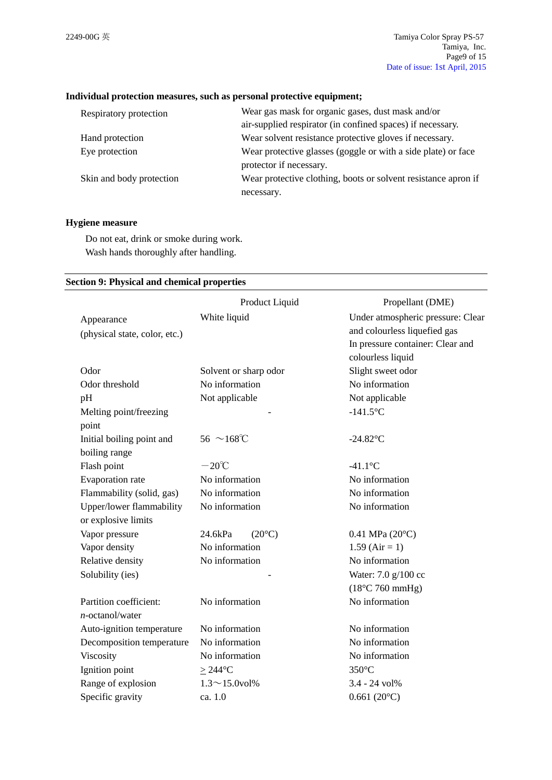### **Individual protection measures, such as personal protective equipment;**

| Respiratory protection   | Wear gas mask for organic gases, dust mask and/or              |  |
|--------------------------|----------------------------------------------------------------|--|
|                          | air-supplied respirator (in confined spaces) if necessary.     |  |
| Hand protection          | Wear solvent resistance protective gloves if necessary.        |  |
| Eye protection           | Wear protective glasses (goggle or with a side plate) or face  |  |
|                          | protector if necessary.                                        |  |
| Skin and body protection | Wear protective clothing, boots or solvent resistance apron if |  |
|                          | necessary.                                                     |  |

### **Hygiene measure**

Do not eat, drink or smoke during work. Wash hands thoroughly after handling.

## **Section 9: Physical and chemical properties**

|                               | Product Liquid             | Propellant (DME)                  |
|-------------------------------|----------------------------|-----------------------------------|
| Appearance                    | White liquid               | Under atmospheric pressure: Clear |
| (physical state, color, etc.) |                            | and colourless liquefied gas      |
|                               |                            | In pressure container: Clear and  |
|                               |                            | colourless liquid                 |
| Odor                          | Solvent or sharp odor      | Slight sweet odor                 |
| Odor threshold                | No information             | No information                    |
| pH                            | Not applicable             | Not applicable                    |
| Melting point/freezing        |                            | $-141.5$ °C                       |
| point                         |                            |                                   |
| Initial boiling point and     | $56~^{\sim}168^{\circ}C$   | $-24.82$ °C                       |
| boiling range                 |                            |                                   |
| Flash point                   | $-20^{\circ}$ C            | $-41.1$ °C                        |
| Evaporation rate              | No information             | No information                    |
| Flammability (solid, gas)     | No information             | No information                    |
| Upper/lower flammability      | No information             | No information                    |
| or explosive limits           |                            |                                   |
| Vapor pressure                | $(20^{\circ}C)$<br>24.6kPa | $0.41$ MPa $(20^{\circ}C)$        |
| Vapor density                 | No information             | $1.59$ (Air = 1)                  |
| Relative density              | No information             | No information                    |
| Solubility (ies)              |                            | Water: 7.0 g/100 cc               |
|                               |                            | $(18^{\circ}C 760$ mmHg)          |
| Partition coefficient:        | No information             | No information                    |
| $n$ -octanol/water            |                            |                                   |
| Auto-ignition temperature     | No information             | No information                    |
| Decomposition temperature     | No information             | No information                    |
| Viscosity                     | No information             | No information                    |
| Ignition point                | $>244$ °C                  | 350°C                             |
| Range of explosion            | $1.3 \sim 15.0$ vol%       | 3.4 - 24 vol%                     |
| Specific gravity              | ca. 1.0                    | $0.661(20^{\circ}C)$              |
|                               |                            |                                   |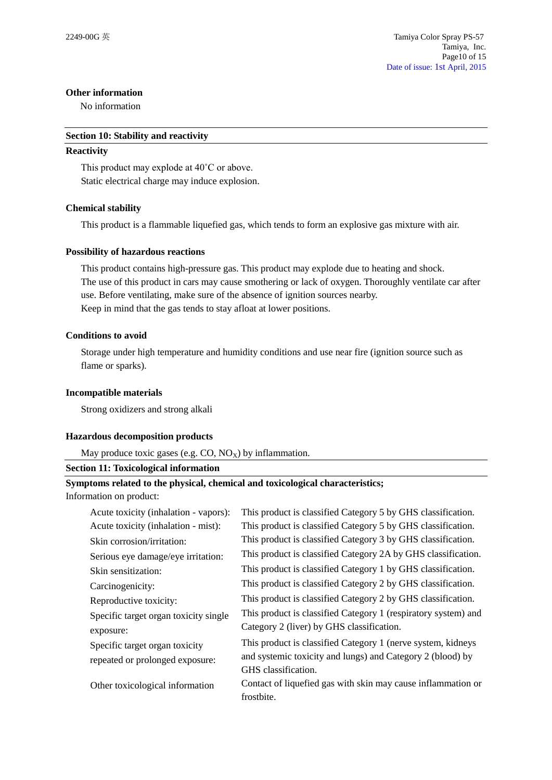### **Other information**

No information

### **Section 10: Stability and reactivity**

### **Reactivity**

This product may explode at 40˚C or above. Static electrical charge may induce explosion.

## **Chemical stability**

This product is a flammable liquefied gas, which tends to form an explosive gas mixture with air.

## **Possibility of hazardous reactions**

This product contains high-pressure gas. This product may explode due to heating and shock. The use of this product in cars may cause smothering or lack of oxygen. Thoroughly ventilate car after use. Before ventilating, make sure of the absence of ignition sources nearby. Keep in mind that the gas tends to stay afloat at lower positions.

## **Conditions to avoid**

Storage under high temperature and humidity conditions and use near fire (ignition source such as flame or sparks).

## **Incompatible materials**

Strong oxidizers and strong alkali

## **Hazardous decomposition products**

May produce toxic gases (e.g.  $CO$ ,  $NO_X$ ) by inflammation.

### **Section 11: Toxicological information**

# **Symptoms related to the physical, chemical and toxicological characteristics;**

Information on product:

| Acute toxicity (inhalation - vapors): | This product is classified Category 5 by GHS classification.   |
|---------------------------------------|----------------------------------------------------------------|
| Acute toxicity (inhalation - mist):   | This product is classified Category 5 by GHS classification.   |
| Skin corrosion/irritation:            | This product is classified Category 3 by GHS classification.   |
| Serious eye damage/eye irritation:    | This product is classified Category 2A by GHS classification.  |
| Skin sensitization:                   | This product is classified Category 1 by GHS classification.   |
| Carcinogenicity:                      | This product is classified Category 2 by GHS classification.   |
| Reproductive toxicity:                | This product is classified Category 2 by GHS classification.   |
| Specific target organ toxicity single | This product is classified Category 1 (respiratory system) and |
| exposure:                             | Category 2 (liver) by GHS classification.                      |
| Specific target organ toxicity        | This product is classified Category 1 (nerve system, kidneys   |
| repeated or prolonged exposure:       | and systemic toxicity and lungs) and Category 2 (blood) by     |
|                                       | GHS classification.                                            |
| Other toxicological information       | Contact of liquefied gas with skin may cause inflammation or   |
|                                       | frostbite.                                                     |
|                                       |                                                                |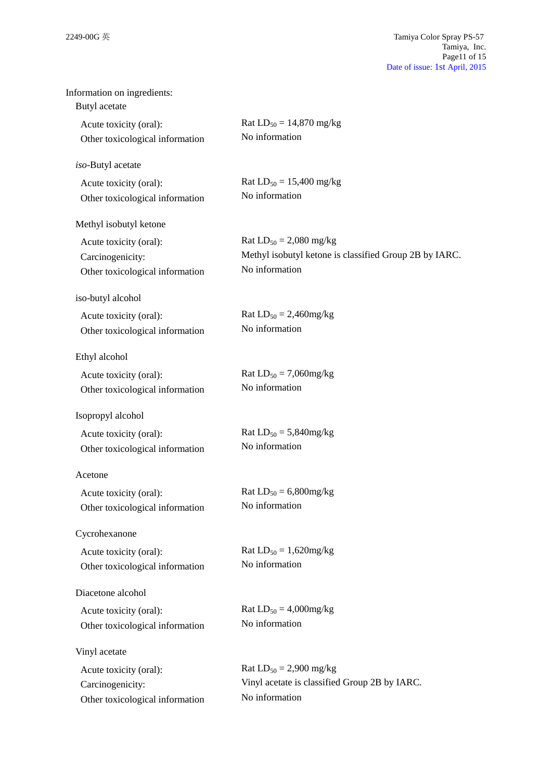| Information on ingredients:     |                                                        |
|---------------------------------|--------------------------------------------------------|
| Butyl acetate                   |                                                        |
| Acute toxicity (oral):          | Rat $LD_{50} = 14,870$ mg/kg                           |
| Other toxicological information | No information                                         |
| iso-Butyl acetate               |                                                        |
| Acute toxicity (oral):          | Rat $LD_{50} = 15,400$ mg/kg                           |
| Other toxicological information | No information                                         |
| Methyl isobutyl ketone          |                                                        |
| Acute toxicity (oral):          | Rat $LD_{50} = 2,080$ mg/kg                            |
| Carcinogenicity:                | Methyl isobutyl ketone is classified Group 2B by IARC. |
| Other toxicological information | No information                                         |
| iso-butyl alcohol               |                                                        |
| Acute toxicity (oral):          | Rat $LD_{50} = 2,460$ mg/kg                            |
| Other toxicological information | No information                                         |
| Ethyl alcohol                   |                                                        |
| Acute toxicity (oral):          | Rat $LD_{50} = 7,060$ mg/kg                            |
| Other toxicological information | No information                                         |
| Isopropyl alcohol               |                                                        |
| Acute toxicity (oral):          | Rat $LD_{50} = 5,840$ mg/kg                            |
| Other toxicological information | No information                                         |
| Acetone                         |                                                        |
| Acute toxicity (oral):          | Rat $LD_{50} = 6,800$ mg/kg                            |
| Other toxicological information | No information                                         |
| Cycrohexanone                   |                                                        |
| Acute toxicity (oral):          | Rat $LD_{50} = 1,620$ mg/kg                            |
| Other toxicological information | No information                                         |
| Diacetone alcohol               |                                                        |
| Acute toxicity (oral):          | Rat $LD_{50} = 4,000$ mg/kg                            |
| Other toxicological information | No information                                         |
| Vinyl acetate                   |                                                        |
| Acute toxicity (oral):          | Rat $LD_{50} = 2,900$ mg/kg                            |
| Carcinogenicity:                | Vinyl acetate is classified Group 2B by IARC.          |
| Other toxicological information | No information                                         |
|                                 |                                                        |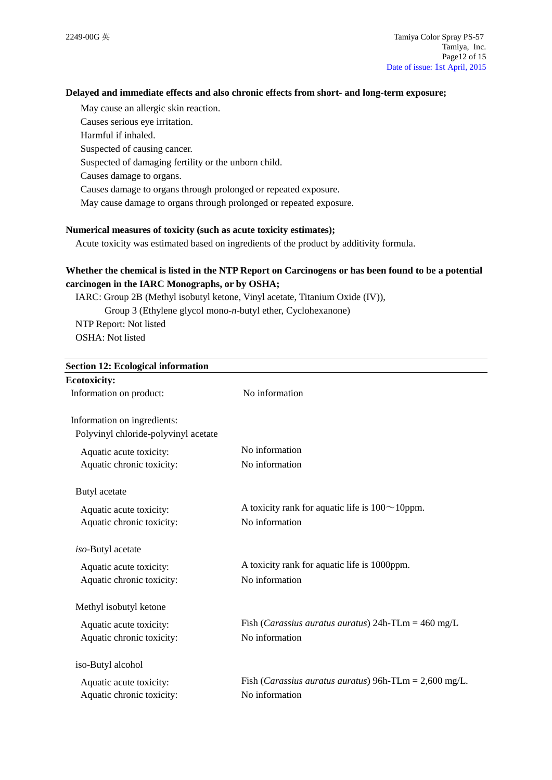## **Delayed and immediate effects and also chronic effects from short- and long-term exposure;**

May cause an allergic skin reaction. Causes serious eye irritation. Harmful if inhaled. Suspected of causing cancer. Suspected of damaging fertility or the unborn child. Causes damage to organs. Causes damage to organs through prolonged or repeated exposure. May cause damage to organs through prolonged or repeated exposure.

## **Numerical measures of toxicity (such as acute toxicity estimates);**

Acute toxicity was estimated based on ingredients of the product by additivity formula.

# **Whether the chemical is listed in the NTP Report on Carcinogens or has been found to be a potential carcinogen in the IARC Monographs, or by OSHA;**

IARC: Group 2B (Methyl isobutyl ketone, Vinyl acetate, Titanium Oxide (IV)), Group 3 (Ethylene glycol mono-*n*-butyl ether, Cyclohexanone) NTP Report: Not listed OSHA: Not listed

| <b>Section 12: Ecological information</b> |                                                                        |  |
|-------------------------------------------|------------------------------------------------------------------------|--|
| <b>Ecotoxicity:</b>                       |                                                                        |  |
| Information on product:                   | No information                                                         |  |
| Information on ingredients:               |                                                                        |  |
| Polyvinyl chloride-polyvinyl acetate      |                                                                        |  |
| Aquatic acute toxicity:                   | No information                                                         |  |
| Aquatic chronic toxicity:                 | No information                                                         |  |
| Butyl acetate                             |                                                                        |  |
| Aquatic acute toxicity:                   | A toxicity rank for aquatic life is $100 \sim 10$ ppm.                 |  |
| Aquatic chronic toxicity:                 | No information                                                         |  |
| iso-Butyl acetate                         |                                                                        |  |
| Aquatic acute toxicity:                   | A toxicity rank for aquatic life is 1000ppm.                           |  |
| Aquatic chronic toxicity:                 | No information                                                         |  |
| Methyl isobutyl ketone                    |                                                                        |  |
| Aquatic acute toxicity:                   | Fish ( <i>Carassius auratus auratus</i> ) 24h-TLm = $460 \text{ mg/L}$ |  |
| Aquatic chronic toxicity:                 | No information                                                         |  |
| iso-Butyl alcohol                         |                                                                        |  |
| Aquatic acute toxicity:                   | Fish ( <i>Carassius auratus auratus</i> ) 96h-TLm = $2,600$ mg/L.      |  |
| Aquatic chronic toxicity:                 | No information                                                         |  |
|                                           |                                                                        |  |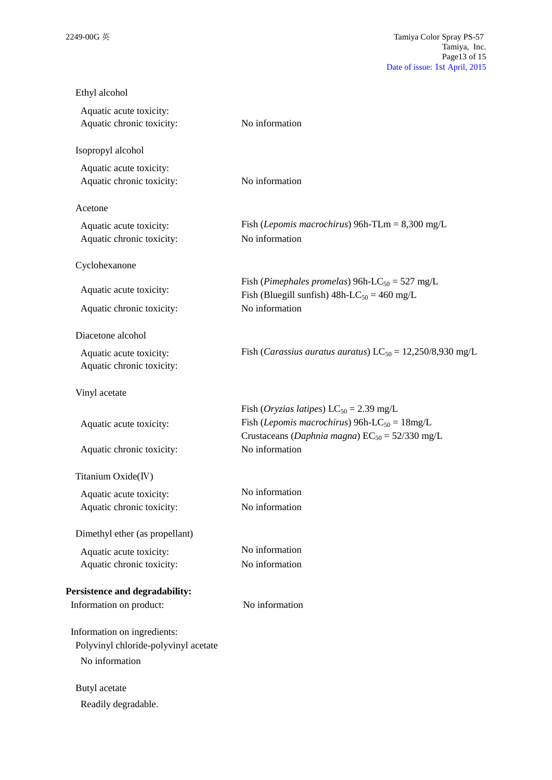| Ethyl alcohol                                        |                                                                                                                                                                            |
|------------------------------------------------------|----------------------------------------------------------------------------------------------------------------------------------------------------------------------------|
| Aquatic acute toxicity:<br>Aquatic chronic toxicity: | No information                                                                                                                                                             |
| Isopropyl alcohol                                    |                                                                                                                                                                            |
| Aquatic acute toxicity:<br>Aquatic chronic toxicity: | No information                                                                                                                                                             |
| Acetone                                              |                                                                                                                                                                            |
| Aquatic acute toxicity:<br>Aquatic chronic toxicity: | Fish ( <i>Lepomis macrochirus</i> ) 96h-TLm = $8,300$ mg/L<br>No information                                                                                               |
| Cyclohexanone                                        |                                                                                                                                                                            |
| Aquatic acute toxicity:                              | Fish (Pimephales promelas) 96h-LC <sub>50</sub> = 527 mg/L<br>Fish (Bluegill sunfish) $48h$ -LC <sub>50</sub> = 460 mg/L                                                   |
| Aquatic chronic toxicity:                            | No information                                                                                                                                                             |
| Diacetone alcohol                                    |                                                                                                                                                                            |
| Aquatic acute toxicity:<br>Aquatic chronic toxicity: | Fish ( <i>Carassius auratus auratus</i> ) $LC_{50} = 12,250/8,930$ mg/L                                                                                                    |
| Vinyl acetate                                        |                                                                                                                                                                            |
| Aquatic acute toxicity:                              | Fish (Oryzias latipes) $LC_{50} = 2.39$ mg/L<br>Fish ( <i>Lepomis macrochirus</i> ) 96h-LC <sub>50</sub> = $18mg/L$<br>Crustaceans (Daphnia magna) $EC_{50} = 52/330$ mg/L |
| Aquatic chronic toxicity:                            | No information                                                                                                                                                             |
| Titanium Oxide(IV)                                   |                                                                                                                                                                            |
| Aquatic acute toxicity:                              | No information                                                                                                                                                             |
| Aquatic chronic toxicity:                            | No information                                                                                                                                                             |
| Dimethyl ether (as propellant)                       |                                                                                                                                                                            |
| Aquatic acute toxicity:                              | No information                                                                                                                                                             |
| Aquatic chronic toxicity:                            | No information                                                                                                                                                             |
| Persistence and degradability:                       |                                                                                                                                                                            |
| Information on product:                              | No information                                                                                                                                                             |
| Information on ingredients:                          |                                                                                                                                                                            |
| Polyvinyl chloride-polyvinyl acetate                 |                                                                                                                                                                            |
| No information                                       |                                                                                                                                                                            |
| Butyl acetate                                        |                                                                                                                                                                            |
| Readily degradable.                                  |                                                                                                                                                                            |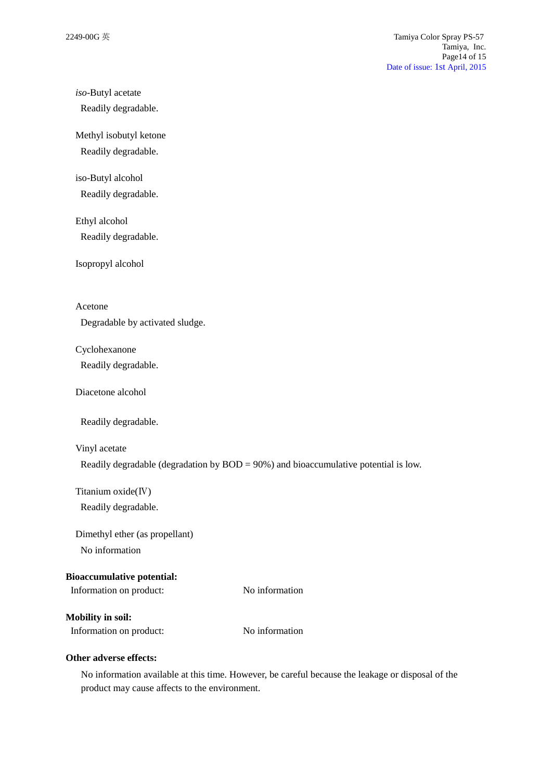# *iso*-Butyl acetate

Readily degradable.

Methyl isobutyl ketone

Readily degradable.

iso-Butyl alcohol Readily degradable.

Ethyl alcohol Readily degradable.

Isopropyl alcohol

Acetone

Degradable by activated sludge.

## Cyclohexanone

Readily degradable.

Diacetone alcohol

Readily degradable.

### Vinyl acetate

Readily degradable (degradation by  $BOD = 90\%$ ) and bioaccumulative potential is low.

Titanium oxide(Ⅳ)

Readily degradable.

Dimethyl ether (as propellant)

No information

## **Bioaccumulative potential:**

Information on product: No information

**Mobility in soil:**

Information on product: No information

## **Other adverse effects:**

No information available at this time. However, be careful because the leakage or disposal of the product may cause affects to the environment.